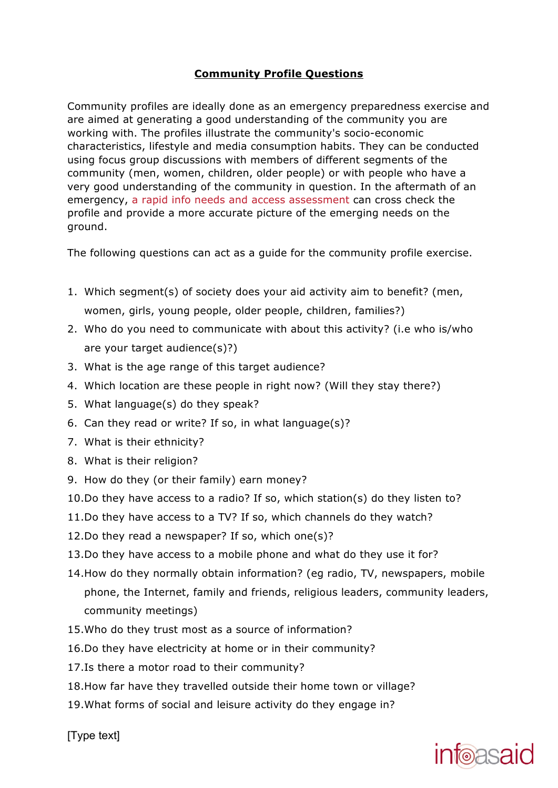## **Community Profile Questions**

Community profiles are ideally done as an emergency preparedness exercise and are aimed at generating a good understanding of the community you are working with. The profiles illustrate the community's socio-economic characteristics, lifestyle and media consumption habits. They can be conducted using focus group discussions with members of different segments of the community (men, women, children, older people) or with people who have a very good understanding of the community in question. In the aftermath of an emergency, a rapid info needs and access assessment can cross check the profile and provide a more accurate picture of the emerging needs on the ground.

The following questions can act as a guide for the community profile exercise.

- 1. Which segment(s) of society does your aid activity aim to benefit? (men, women, girls, young people, older people, children, families?)
- 2. Who do you need to communicate with about this activity? (i.e who is/who are your target audience(s)?)
- 3. What is the age range of this target audience?
- 4. Which location are these people in right now? (Will they stay there?)
- 5. What language(s) do they speak?
- 6. Can they read or write? If so, in what language(s)?
- 7. What is their ethnicity?
- 8. What is their religion?
- 9. How do they (or their family) earn money?
- 10.Do they have access to a radio? If so, which station(s) do they listen to?
- 11.Do they have access to a TV? If so, which channels do they watch?
- 12.Do they read a newspaper? If so, which one(s)?
- 13.Do they have access to a mobile phone and what do they use it for?
- 14.How do they normally obtain information? (eg radio, TV, newspapers, mobile phone, the Internet, family and friends, religious leaders, community leaders, community meetings)
- 15.Who do they trust most as a source of information?
- 16.Do they have electricity at home or in their community?
- 17.Is there a motor road to their community?
- 18.How far have they travelled outside their home town or village?
- 19.What forms of social and leisure activity do they engage in?

[Type text]